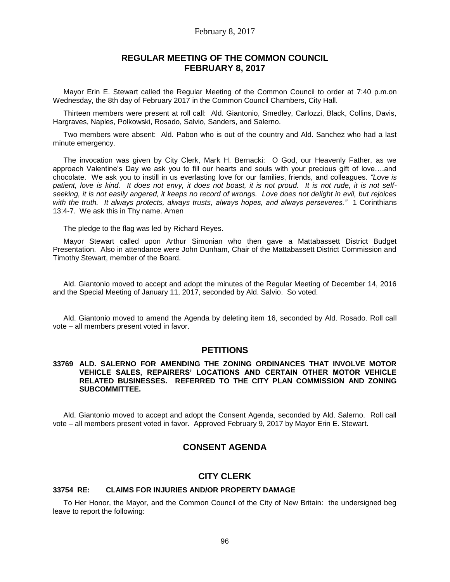#### February 8, 2017

# **REGULAR MEETING OF THE COMMON COUNCIL FEBRUARY 8, 2017**

Mayor Erin E. Stewart called the Regular Meeting of the Common Council to order at 7:40 p.m.on Wednesday, the 8th day of February 2017 in the Common Council Chambers, City Hall.

Thirteen members were present at roll call: Ald. Giantonio, Smedley, Carlozzi, Black, Collins, Davis, Hargraves, Naples, Polkowski, Rosado, Salvio, Sanders, and Salerno.

Two members were absent: Ald. Pabon who is out of the country and Ald. Sanchez who had a last minute emergency.

The invocation was given by City Clerk, Mark H. Bernacki: O God, our Heavenly Father, as we approach Valentine's Day we ask you to fill our hearts and souls with your precious gift of love….and chocolate. We ask you to instill in us everlasting love for our families, friends, and colleagues. *"Love is patient, love is kind. It does not envy, it does not boast, it is not proud. It is not rude, it is not selfseeking, it is not easily angered, it keeps no record of wrongs. Love does not delight in evil, but rejoices with the truth. It always protects, always trusts, always hopes, and always perseveres."* 1 Corinthians 13:4-7. We ask this in Thy name. Amen

The pledge to the flag was led by Richard Reyes.

Mayor Stewart called upon Arthur Simonian who then gave a Mattabassett District Budget Presentation. Also in attendance were John Dunham, Chair of the Mattabassett District Commission and Timothy Stewart, member of the Board.

Ald. Giantonio moved to accept and adopt the minutes of the Regular Meeting of December 14, 2016 and the Special Meeting of January 11, 2017, seconded by Ald. Salvio. So voted.

Ald. Giantonio moved to amend the Agenda by deleting item 16, seconded by Ald. Rosado. Roll call vote – all members present voted in favor.

#### **PETITIONS**

#### **33769 ALD. SALERNO FOR AMENDING THE ZONING ORDINANCES THAT INVOLVE MOTOR VEHICLE SALES, REPAIRERS' LOCATIONS AND CERTAIN OTHER MOTOR VEHICLE RELATED BUSINESSES. REFERRED TO THE CITY PLAN COMMISSION AND ZONING SUBCOMMITTEE.**

Ald. Giantonio moved to accept and adopt the Consent Agenda, seconded by Ald. Salerno. Roll call vote – all members present voted in favor. Approved February 9, 2017 by Mayor Erin E. Stewart.

# **CONSENT AGENDA**

#### **CITY CLERK**

## **33754 RE: CLAIMS FOR INJURIES AND/OR PROPERTY DAMAGE**

To Her Honor, the Mayor, and the Common Council of the City of New Britain: the undersigned beg leave to report the following: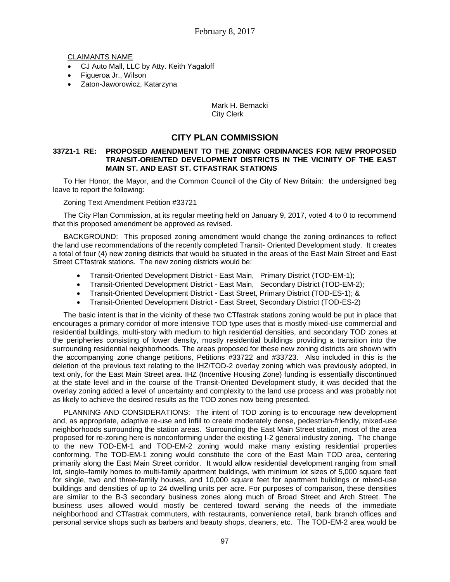## CLAIMANTS NAME

- CJ Auto Mall, LLC by Atty. Keith Yagaloff
- Figueroa Jr., Wilson
- Zaton-Jaworowicz, Katarzyna

### Mark H. Bernacki City Clerk

# **CITY PLAN COMMISSION**

#### **33721-1 RE: PROPOSED AMENDMENT TO THE ZONING ORDINANCES FOR NEW PROPOSED TRANSIT-ORIENTED DEVELOPMENT DISTRICTS IN THE VICINITY OF THE EAST MAIN ST. AND EAST ST. CTFASTRAK STATIONS**

To Her Honor, the Mayor, and the Common Council of the City of New Britain: the undersigned beg leave to report the following:

Zoning Text Amendment Petition #33721

The City Plan Commission, at its regular meeting held on January 9, 2017, voted 4 to 0 to recommend that this proposed amendment be approved as revised.

BACKGROUND: This proposed zoning amendment would change the zoning ordinances to reflect the land use recommendations of the recently completed Transit- Oriented Development study. It creates a total of four (4) new zoning districts that would be situated in the areas of the East Main Street and East Street CTfastrak stations. The new zoning districts would be:

- Transit-Oriented Development District East Main, Primary District (TOD-EM-1);
- Transit-Oriented Development District East Main, Secondary District (TOD-EM-2);
- Transit-Oriented Development District East Street, Primary District (TOD-ES-1); &
- Transit-Oriented Development District East Street, Secondary District (TOD-ES-2)

The basic intent is that in the vicinity of these two CTfastrak stations zoning would be put in place that encourages a primary corridor of more intensive TOD type uses that is mostly mixed-use commercial and residential buildings, multi-story with medium to high residential densities, and secondary TOD zones at the peripheries consisting of lower density, mostly residential buildings providing a transition into the surrounding residential neighborhoods. The areas proposed for these new zoning districts are shown with the accompanying zone change petitions, Petitions #33722 and #33723. Also included in this is the deletion of the previous text relating to the IHZ/TOD-2 overlay zoning which was previously adopted, in text only, for the East Main Street area. IHZ (Incentive Housing Zone) funding is essentially discontinued at the state level and in the course of the Transit-Oriented Development study, it was decided that the overlay zoning added a level of uncertainty and complexity to the land use process and was probably not as likely to achieve the desired results as the TOD zones now being presented.

PLANNING AND CONSIDERATIONS: The intent of TOD zoning is to encourage new development and, as appropriate, adaptive re-use and infill to create moderately dense, pedestrian-friendly, mixed-use neighborhoods surrounding the station areas. Surrounding the East Main Street station, most of the area proposed for re-zoning here is nonconforming under the existing I-2 general industry zoning. The change to the new TOD-EM-1 and TOD-EM-2 zoning would make many existing residential properties conforming. The TOD-EM-1 zoning would constitute the core of the East Main TOD area, centering primarily along the East Main Street corridor. It would allow residential development ranging from small lot, single–family homes to multi-family apartment buildings, with minimum lot sizes of 5,000 square feet for single, two and three-family houses, and 10,000 square feet for apartment buildings or mixed-use buildings and densities of up to 24 dwelling units per acre. For purposes of comparison, these densities are similar to the B-3 secondary business zones along much of Broad Street and Arch Street. The business uses allowed would mostly be centered toward serving the needs of the immediate neighborhood and CTfastrak commuters, with restaurants, convenience retail, bank branch offices and personal service shops such as barbers and beauty shops, cleaners, etc. The TOD-EM-2 area would be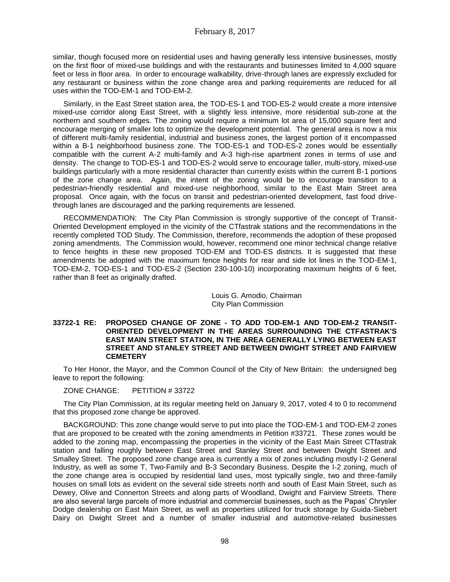similar, though focused more on residential uses and having generally less intensive businesses, mostly on the first floor of mixed-use buildings and with the restaurants and businesses limited to 4,000 square feet or less in floor area. In order to encourage walkability, drive-through lanes are expressly excluded for any restaurant or business within the zone change area and parking requirements are reduced for all uses within the TOD-EM-1 and TOD-EM-2.

Similarly, in the East Street station area, the TOD-ES-1 and TOD-ES-2 would create a more intensive mixed-use corridor along East Street, with a slightly less intensive, more residential sub-zone at the northern and southern edges. The zoning would require a minimum lot area of 15,000 square feet and encourage merging of smaller lots to optimize the development potential. The general area is now a mix of different multi-family residential, industrial and business zones, the largest portion of it encompassed within a B-1 neighborhood business zone. The TOD-ES-1 and TOD-ES-2 zones would be essentially compatible with the current A-2 multi-family and A-3 high-rise apartment zones in terms of use and density. The change to TOD-ES-1 and TOD-ES-2 would serve to encourage taller, multi-story, mixed-use buildings particularly with a more residential character than currently exists within the current B-1 portions of the zone change area. Again, the intent of the zoning would be to encourage transition to a pedestrian-friendly residential and mixed-use neighborhood, similar to the East Main Street area proposal. Once again, with the focus on transit and pedestrian-oriented development, fast food drivethrough lanes are discouraged and the parking requirements are lessened.

RECOMMENDATION: The City Plan Commission is strongly supportive of the concept of Transit-Oriented Development employed in the vicinity of the CTfastrak stations and the recommendations in the recently completed TOD Study. The Commission, therefore, recommends the adoption of these proposed zoning amendments. The Commission would, however, recommend one minor technical change relative to fence heights in these new proposed TOD-EM and TOD-ES districts. It is suggested that these amendments be adopted with the maximum fence heights for rear and side lot lines in the TOD-EM-1, TOD-EM-2, TOD-ES-1 and TOD-ES-2 (Section 230-100-10) incorporating maximum heights of 6 feet, rather than 8 feet as originally drafted.

> Louis G. Amodio, Chairman City Plan Commission

#### **33722-1 RE: PROPOSED CHANGE OF ZONE - TO ADD TOD-EM-1 AND TOD-EM-2 TRANSIT-ORIENTED DEVELOPMENT IN THE AREAS SURROUNDING THE CTFASTRAK'S EAST MAIN STREET STATION, IN THE AREA GENERALLY LYING BETWEEN EAST STREET AND STANLEY STREET AND BETWEEN DWIGHT STREET AND FAIRVIEW CEMETERY**

To Her Honor, the Mayor, and the Common Council of the City of New Britain: the undersigned beg leave to report the following:

ZONE CHANGE: PETITION # 33722

The City Plan Commission, at its regular meeting held on January 9, 2017, voted 4 to 0 to recommend that this proposed zone change be approved.

BACKGROUND: This zone change would serve to put into place the TOD-EM-1 and TOD-EM-2 zones that are proposed to be created with the zoning amendments in Petition #33721. These zones would be added to the zoning map, encompassing the properties in the vicinity of the East Main Street CTfastrak station and falling roughly between East Street and Stanley Street and between Dwight Street and Smalley Street. The proposed zone change area is currently a mix of zones including mostly I-2 General Industry, as well as some T, Two-Family and B-3 Secondary Business. Despite the I-2 zoning, much of the zone change area is occupied by residential land uses, most typically single, two and three-family houses on small lots as evident on the several side streets north and south of East Main Street, such as Dewey, Olive and Connerton Streets and along parts of Woodland, Dwight and Fairview Streets. There are also several large parcels of more industrial and commercial businesses, such as the Papas' Chrysler Dodge dealership on East Main Street, as well as properties utilized for truck storage by Guida-Siebert Dairy on Dwight Street and a number of smaller industrial and automotive-related businesses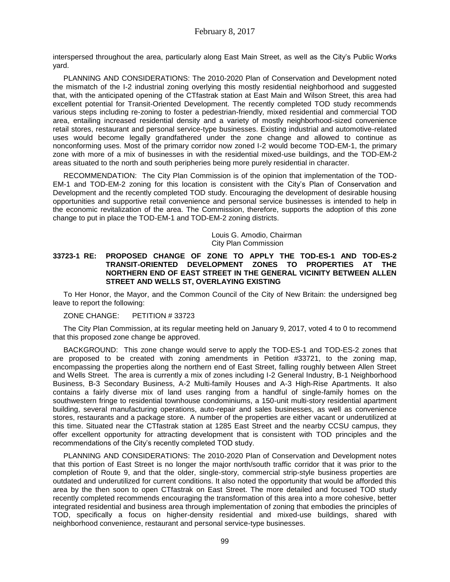interspersed throughout the area, particularly along East Main Street, as well as the City's Public Works yard.

PLANNING AND CONSIDERATIONS: The 2010-2020 Plan of Conservation and Development noted the mismatch of the I-2 industrial zoning overlying this mostly residential neighborhood and suggested that, with the anticipated opening of the CTfastrak station at East Main and Wilson Street, this area had excellent potential for Transit-Oriented Development. The recently completed TOD study recommends various steps including re-zoning to foster a pedestrian-friendly, mixed residential and commercial TOD area, entailing increased residential density and a variety of mostly neighborhood-sized convenience retail stores, restaurant and personal service-type businesses. Existing industrial and automotive-related uses would become legally grandfathered under the zone change and allowed to continue as nonconforming uses. Most of the primary corridor now zoned I-2 would become TOD-EM-1, the primary zone with more of a mix of businesses in with the residential mixed-use buildings, and the TOD-EM-2 areas situated to the north and south peripheries being more purely residential in character.

RECOMMENDATION: The City Plan Commission is of the opinion that implementation of the TOD-EM-1 and TOD-EM-2 zoning for this location is consistent with the City's Plan of Conservation and Development and the recently completed TOD study. Encouraging the development of desirable housing opportunities and supportive retail convenience and personal service businesses is intended to help in the economic revitalization of the area. The Commission, therefore, supports the adoption of this zone change to put in place the TOD-EM-1 and TOD-EM-2 zoning districts.

> Louis G. Amodio, Chairman City Plan Commission

#### **33723-1 RE: PROPOSED CHANGE OF ZONE TO APPLY THE TOD-ES-1 AND TOD-ES-2 TRANSIT-ORIENTED DEVELOPMENT ZONES TO PROPERTIES AT THE NORTHERN END OF EAST STREET IN THE GENERAL VICINITY BETWEEN ALLEN STREET AND WELLS ST, OVERLAYING EXISTING**

To Her Honor, the Mayor, and the Common Council of the City of New Britain: the undersigned beg leave to report the following:

ZONE CHANGE: PETITION # 33723

The City Plan Commission, at its regular meeting held on January 9, 2017, voted 4 to 0 to recommend that this proposed zone change be approved.

BACKGROUND: This zone change would serve to apply the TOD-ES-1 and TOD-ES-2 zones that are proposed to be created with zoning amendments in Petition #33721, to the zoning map, encompassing the properties along the northern end of East Street, falling roughly between Allen Street and Wells Street. The area is currently a mix of zones including I-2 General Industry, B-1 Neighborhood Business, B-3 Secondary Business, A-2 Multi-family Houses and A-3 High-Rise Apartments. It also contains a fairly diverse mix of land uses ranging from a handful of single-family homes on the southwestern fringe to residential townhouse condominiums, a 150-unit multi-story residential apartment building, several manufacturing operations, auto-repair and sales businesses, as well as convenience stores, restaurants and a package store. A number of the properties are either vacant or underutilized at this time. Situated near the CTfastrak station at 1285 East Street and the nearby CCSU campus, they offer excellent opportunity for attracting development that is consistent with TOD principles and the recommendations of the City's recently completed TOD study.

PLANNING AND CONSIDERATIONS: The 2010-2020 Plan of Conservation and Development notes that this portion of East Street is no longer the major north/south traffic corridor that it was prior to the completion of Route 9, and that the older, single-story, commercial strip-style business properties are outdated and underutilized for current conditions. It also noted the opportunity that would be afforded this area by the then soon to open CTfastrak on East Street. The more detailed and focused TOD study recently completed recommends encouraging the transformation of this area into a more cohesive, better integrated residential and business area through implementation of zoning that embodies the principles of TOD, specifically a focus on higher-density residential and mixed-use buildings, shared with neighborhood convenience, restaurant and personal service-type businesses.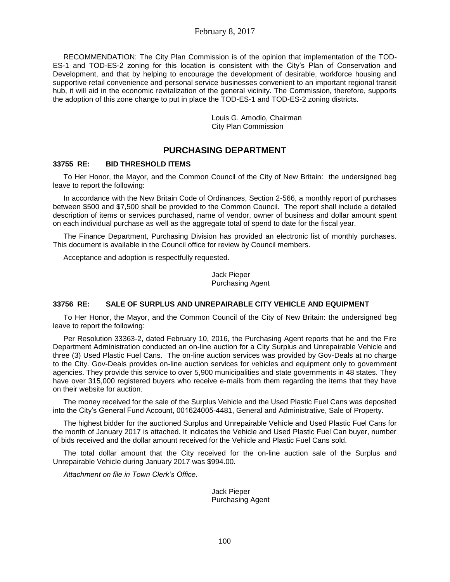RECOMMENDATION: The City Plan Commission is of the opinion that implementation of the TOD-ES-1 and TOD-ES-2 zoning for this location is consistent with the City's Plan of Conservation and Development, and that by helping to encourage the development of desirable, workforce housing and supportive retail convenience and personal service businesses convenient to an important regional transit hub, it will aid in the economic revitalization of the general vicinity. The Commission, therefore, supports the adoption of this zone change to put in place the TOD-ES-1 and TOD-ES-2 zoning districts.

> Louis G. Amodio, Chairman City Plan Commission

# **PURCHASING DEPARTMENT**

## **33755 RE: BID THRESHOLD ITEMS**

To Her Honor, the Mayor, and the Common Council of the City of New Britain: the undersigned beg leave to report the following:

In accordance with the New Britain Code of Ordinances, Section 2-566, a monthly report of purchases between \$500 and \$7,500 shall be provided to the Common Council. The report shall include a detailed description of items or services purchased, name of vendor, owner of business and dollar amount spent on each individual purchase as well as the aggregate total of spend to date for the fiscal year.

The Finance Department, Purchasing Division has provided an electronic list of monthly purchases. This document is available in the Council office for review by Council members.

Acceptance and adoption is respectfully requested.

Jack Pieper Purchasing Agent

#### **33756 RE: SALE OF SURPLUS AND UNREPAIRABLE CITY VEHICLE AND EQUIPMENT**

To Her Honor, the Mayor, and the Common Council of the City of New Britain: the undersigned beg leave to report the following:

Per Resolution 33363-2, dated February 10, 2016, the Purchasing Agent reports that he and the Fire Department Administration conducted an on-line auction for a City Surplus and Unrepairable Vehicle and three (3) Used Plastic Fuel Cans. The on-line auction services was provided by Gov-Deals at no charge to the City. Gov-Deals provides on-line auction services for vehicles and equipment only to government agencies. They provide this service to over 5,900 municipalities and state governments in 48 states. They have over 315,000 registered buyers who receive e-mails from them regarding the items that they have on their website for auction.

The money received for the sale of the Surplus Vehicle and the Used Plastic Fuel Cans was deposited into the City's General Fund Account, 001624005-4481, General and Administrative, Sale of Property.

The highest bidder for the auctioned Surplus and Unrepairable Vehicle and Used Plastic Fuel Cans for the month of January 2017 is attached. It indicates the Vehicle and Used Plastic Fuel Can buyer, number of bids received and the dollar amount received for the Vehicle and Plastic Fuel Cans sold.

The total dollar amount that the City received for the on-line auction sale of the Surplus and Unrepairable Vehicle during January 2017 was \$994.00.

*Attachment on file in Town Clerk's Office.*

Jack Pieper Purchasing Agent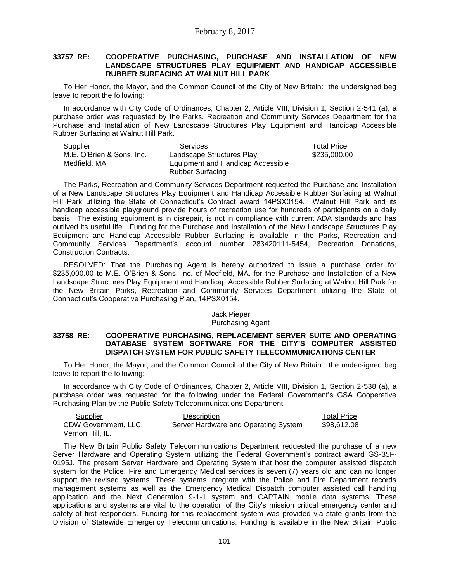#### **33757 RE: COOPERATIVE PURCHASING, PURCHASE AND INSTALLATION OF NEW LANDSCAPE STRUCTURES PLAY EQUIPMENT AND HANDICAP ACCESSIBLE RUBBER SURFACING AT WALNUT HILL PARK**

To Her Honor, the Mayor, and the Common Council of the City of New Britain: the undersigned beg leave to report the following:

In accordance with City Code of Ordinances, Chapter 2, Article VIII, Division 1, Section 2-541 (a), a purchase order was requested by the Parks, Recreation and Community Services Department for the Purchase and Installation of New Landscape Structures Play Equipment and Handicap Accessible Rubber Surfacing at Walnut Hill Park.

| Supplier                  | Services                          | <b>Total Price</b> |
|---------------------------|-----------------------------------|--------------------|
| M.E. O'Brien & Sons. Inc. | Landscape Structures Play         | \$235,000.00       |
| Medfield, MA              | Equipment and Handicap Accessible |                    |
|                           | <b>Rubber Surfacing</b>           |                    |

The Parks, Recreation and Community Services Department requested the Purchase and Installation of a New Landscape Structures Play Equipment and Handicap Accessible Rubber Surfacing at Walnut Hill Park utilizing the State of Connecticut's Contract award 14PSX0154. Walnut Hill Park and its handicap accessible playground provide hours of recreation use for hundreds of participants on a daily basis. The existing equipment is in disrepair, is not in compliance with current ADA standards and has outlived its useful life. Funding for the Purchase and Installation of the New Landscape Structures Play Equipment and Handicap Accessible Rubber Surfacing is available in the Parks, Recreation and Community Services Department's account number 283420111-5454, Recreation Donations, Construction Contracts.

RESOLVED: That the Purchasing Agent is hereby authorized to issue a purchase order for \$235,000.00 to M.E. O'Brien & Sons, Inc. of Medfield, MA. for the Purchase and Installation of a New Landscape Structures Play Equipment and Handicap Accessible Rubber Surfacing at Walnut Hill Park for the New Britain Parks, Recreation and Community Services Department utilizing the State of Connecticut's Cooperative Purchasing Plan, 14PSX0154.

#### Jack Pieper Purchasing Agent

## **33758 RE: COOPERATIVE PURCHASING, REPLACEMENT SERVER SUITE AND OPERATING DATABASE SYSTEM SOFTWARE FOR THE CITY'S COMPUTER ASSISTED DISPATCH SYSTEM FOR PUBLIC SAFETY TELECOMMUNICATIONS CENTER**

To Her Honor, the Mayor, and the Common Council of the City of New Britain: the undersigned beg leave to report the following:

In accordance with City Code of Ordinances, Chapter 2, Article VIII, Division 1, Section 2-538 (a), a purchase order was requested for the following under the Federal Government's GSA Cooperative Purchasing Plan by the Public Safety Telecommunications Department.

| Supplier            | Description                          | <b>Total Price</b> |
|---------------------|--------------------------------------|--------------------|
| CDW Government, LLC | Server Hardware and Operating System | \$98.612.08        |
| Vernon Hill, IL.    |                                      |                    |

The New Britain Public Safety Telecommunications Department requested the purchase of a new Server Hardware and Operating System utilizing the Federal Government's contract award GS-35F-0195J. The present Server Hardware and Operating System that host the computer assisted dispatch system for the Police, Fire and Emergency Medical services is seven (7) years old and can no longer support the revised systems. These systems integrate with the Police and Fire Department records management systems as well as the Emergency Medical Dispatch computer assisted call handling application and the Next Generation 9-1-1 system and CAPTAIN mobile data systems. These applications and systems are vital to the operation of the City's mission critical emergency center and safety of first responders. Funding for this replacement system was provided via state grants from the Division of Statewide Emergency Telecommunications. Funding is available in the New Britain Public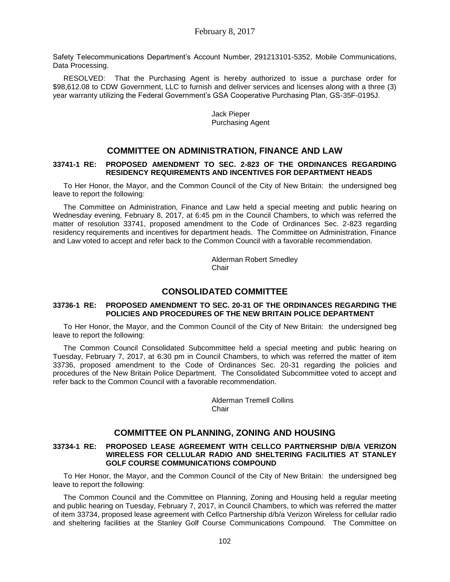Safety Telecommunications Department's Account Number, 291213101-5352, Mobile Communications, Data Processing.

RESOLVED: That the Purchasing Agent is hereby authorized to issue a purchase order for \$98,612.08 to CDW Government, LLC to furnish and deliver services and licenses along with a three (3) year warranty utilizing the Federal Government's GSA Cooperative Purchasing Plan, GS-35F-0195J.

> Jack Pieper Purchasing Agent

# **COMMITTEE ON ADMINISTRATION, FINANCE AND LAW**

#### **33741-1 RE: PROPOSED AMENDMENT TO SEC. 2-823 OF THE ORDINANCES REGARDING RESIDENCY REQUIREMENTS AND INCENTIVES FOR DEPARTMENT HEADS**

To Her Honor, the Mayor, and the Common Council of the City of New Britain: the undersigned beg leave to report the following:

The Committee on Administration, Finance and Law held a special meeting and public hearing on Wednesday evening, February 8, 2017, at 6:45 pm in the Council Chambers, to which was referred the matter of resolution 33741, proposed amendment to the Code of Ordinances Sec. 2-823 regarding residency requirements and incentives for department heads. The Committee on Administration, Finance and Law voted to accept and refer back to the Common Council with a favorable recommendation.

> Alderman Robert Smedley **Chair**

## **CONSOLIDATED COMMITTEE**

#### **33736-1 RE: PROPOSED AMENDMENT TO SEC. 20-31 OF THE ORDINANCES REGARDING THE POLICIES AND PROCEDURES OF THE NEW BRITAIN POLICE DEPARTMENT**

To Her Honor, the Mayor, and the Common Council of the City of New Britain: the undersigned beg leave to report the following:

The Common Council Consolidated Subcommittee held a special meeting and public hearing on Tuesday, February 7, 2017, at 6:30 pm in Council Chambers, to which was referred the matter of item 33736, proposed amendment to the Code of Ordinances Sec. 20-31 regarding the policies and procedures of the New Britain Police Department. The Consolidated Subcommittee voted to accept and refer back to the Common Council with a favorable recommendation.

> Alderman Tremell Collins Chair

# **COMMITTEE ON PLANNING, ZONING AND HOUSING**

#### **33734-1 RE: PROPOSED LEASE AGREEMENT WITH CELLCO PARTNERSHIP D/B/A VERIZON WIRELESS FOR CELLULAR RADIO AND SHELTERING FACILITIES AT STANLEY GOLF COURSE COMMUNICATIONS COMPOUND**

To Her Honor, the Mayor, and the Common Council of the City of New Britain: the undersigned beg leave to report the following:

The Common Council and the Committee on Planning, Zoning and Housing held a regular meeting and public hearing on Tuesday, February 7, 2017, in Council Chambers, to which was referred the matter of item 33734, proposed lease agreement with Cellco Partnership d/b/a Verizon Wireless for cellular radio and sheltering facilities at the Stanley Golf Course Communications Compound. The Committee on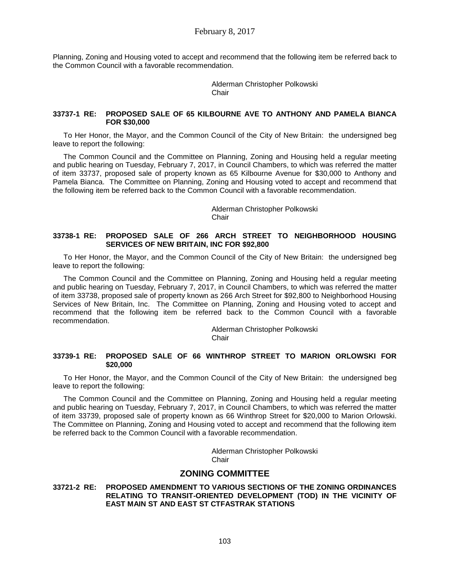Planning, Zoning and Housing voted to accept and recommend that the following item be referred back to the Common Council with a favorable recommendation.

> Alderman Christopher Polkowski Chair

#### **33737-1 RE: PROPOSED SALE OF 65 KILBOURNE AVE TO ANTHONY AND PAMELA BIANCA FOR \$30,000**

To Her Honor, the Mayor, and the Common Council of the City of New Britain: the undersigned beg leave to report the following:

The Common Council and the Committee on Planning, Zoning and Housing held a regular meeting and public hearing on Tuesday, February 7, 2017, in Council Chambers, to which was referred the matter of item 33737, proposed sale of property known as 65 Kilbourne Avenue for \$30,000 to Anthony and Pamela Bianca. The Committee on Planning, Zoning and Housing voted to accept and recommend that the following item be referred back to the Common Council with a favorable recommendation.

> Alderman Christopher Polkowski **Chair**

### **33738-1 RE: PROPOSED SALE OF 266 ARCH STREET TO NEIGHBORHOOD HOUSING SERVICES OF NEW BRITAIN, INC FOR \$92,800**

To Her Honor, the Mayor, and the Common Council of the City of New Britain: the undersigned beg leave to report the following:

The Common Council and the Committee on Planning, Zoning and Housing held a regular meeting and public hearing on Tuesday, February 7, 2017, in Council Chambers, to which was referred the matter of item 33738, proposed sale of property known as 266 Arch Street for \$92,800 to Neighborhood Housing Services of New Britain, Inc. The Committee on Planning, Zoning and Housing voted to accept and recommend that the following item be referred back to the Common Council with a favorable recommendation.

> Alderman Christopher Polkowski **Chair**

## **33739-1 RE: PROPOSED SALE OF 66 WINTHROP STREET TO MARION ORLOWSKI FOR \$20,000**

To Her Honor, the Mayor, and the Common Council of the City of New Britain: the undersigned beg leave to report the following:

The Common Council and the Committee on Planning, Zoning and Housing held a regular meeting and public hearing on Tuesday, February 7, 2017, in Council Chambers, to which was referred the matter of item 33739, proposed sale of property known as 66 Winthrop Street for \$20,000 to Marion Orlowski. The Committee on Planning, Zoning and Housing voted to accept and recommend that the following item be referred back to the Common Council with a favorable recommendation.

> Alderman Christopher Polkowski **Chair**

# **ZONING COMMITTEE**

**33721-2 RE: PROPOSED AMENDMENT TO VARIOUS SECTIONS OF THE ZONING ORDINANCES RELATING TO TRANSIT-ORIENTED DEVELOPMENT (TOD) IN THE VICINITY OF EAST MAIN ST AND EAST ST CTFASTRAK STATIONS**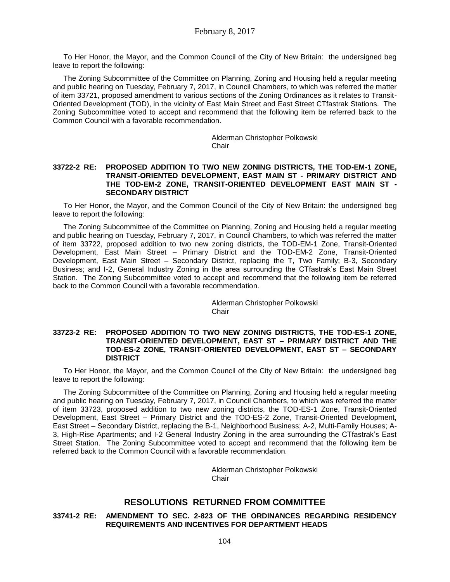To Her Honor, the Mayor, and the Common Council of the City of New Britain: the undersigned beg leave to report the following:

The Zoning Subcommittee of the Committee on Planning, Zoning and Housing held a regular meeting and public hearing on Tuesday, February 7, 2017, in Council Chambers, to which was referred the matter of item 33721, proposed amendment to various sections of the Zoning Ordinances as it relates to Transit-Oriented Development (TOD), in the vicinity of East Main Street and East Street CTfastrak Stations. The Zoning Subcommittee voted to accept and recommend that the following item be referred back to the Common Council with a favorable recommendation.

> Alderman Christopher Polkowski **Chair**

#### **33722-2 RE: PROPOSED ADDITION TO TWO NEW ZONING DISTRICTS, THE TOD-EM-1 ZONE, TRANSIT-ORIENTED DEVELOPMENT, EAST MAIN ST - PRIMARY DISTRICT AND THE TOD-EM-2 ZONE, TRANSIT-ORIENTED DEVELOPMENT EAST MAIN ST - SECONDARY DISTRICT**

To Her Honor, the Mayor, and the Common Council of the City of New Britain: the undersigned beg leave to report the following:

The Zoning Subcommittee of the Committee on Planning, Zoning and Housing held a regular meeting and public hearing on Tuesday, February 7, 2017, in Council Chambers, to which was referred the matter of item 33722, proposed addition to two new zoning districts, the TOD-EM-1 Zone, Transit-Oriented Development, East Main Street – Primary District and the TOD-EM-2 Zone, Transit-Oriented Development, East Main Street – Secondary District, replacing the T, Two Family; B-3, Secondary Business; and I-2, General Industry Zoning in the area surrounding the CTfastrak's East Main Street Station. The Zoning Subcommittee voted to accept and recommend that the following item be referred back to the Common Council with a favorable recommendation.

> Alderman Christopher Polkowski **Chair**

#### **33723-2 RE: PROPOSED ADDITION TO TWO NEW ZONING DISTRICTS, THE TOD-ES-1 ZONE, TRANSIT-ORIENTED DEVELOPMENT, EAST ST – PRIMARY DISTRICT AND THE TOD-ES-2 ZONE, TRANSIT-ORIENTED DEVELOPMENT, EAST ST – SECONDARY DISTRICT**

To Her Honor, the Mayor, and the Common Council of the City of New Britain: the undersigned beg leave to report the following:

The Zoning Subcommittee of the Committee on Planning, Zoning and Housing held a regular meeting and public hearing on Tuesday, February 7, 2017, in Council Chambers, to which was referred the matter of item 33723, proposed addition to two new zoning districts, the TOD-ES-1 Zone, Transit-Oriented Development, East Street – Primary District and the TOD-ES-2 Zone, Transit-Oriented Development, East Street – Secondary District, replacing the B-1, Neighborhood Business; A-2, Multi-Family Houses; A-3, High-Rise Apartments; and I-2 General Industry Zoning in the area surrounding the CTfastrak's East Street Station. The Zoning Subcommittee voted to accept and recommend that the following item be referred back to the Common Council with a favorable recommendation.

> Alderman Christopher Polkowski **Chair**

# **RESOLUTIONS RETURNED FROM COMMITTEE**

#### **33741-2 RE: AMENDMENT TO SEC. 2-823 OF THE ORDINANCES REGARDING RESIDENCY REQUIREMENTS AND INCENTIVES FOR DEPARTMENT HEADS**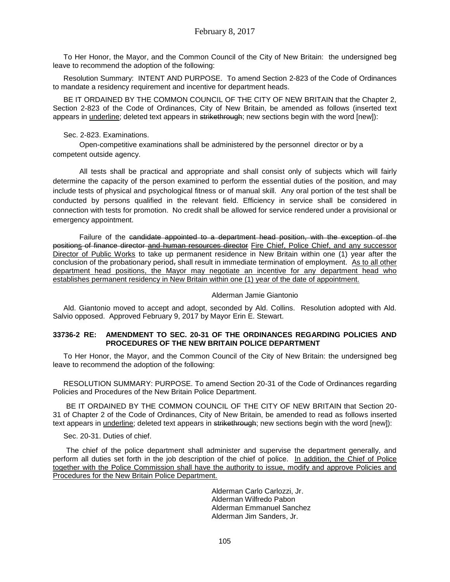To Her Honor, the Mayor, and the Common Council of the City of New Britain: the undersigned beg leave to recommend the adoption of the following:

Resolution Summary: INTENT AND PURPOSE. To amend Section 2-823 of the Code of Ordinances to mandate a residency requirement and incentive for department heads.

BE IT ORDAINED BY THE COMMON COUNCIL OF THE CITY OF NEW BRITAIN that the Chapter 2, Section 2-823 of the Code of Ordinances, City of New Britain, be amended as follows (inserted text appears in underline; deleted text appears in strikethrough; new sections begin with the word [new]):

### Sec. 2-823. Examinations.

Open-competitive examinations shall be administered by the personnel director or by a competent outside agency.

All tests shall be practical and appropriate and shall consist only of subjects which will fairly determine the capacity of the person examined to perform the essential duties of the position, and may include tests of physical and psychological fitness or of manual skill. Any oral portion of the test shall be conducted by persons qualified in the relevant field. Efficiency in service shall be considered in connection with tests for promotion. No credit shall be allowed for service rendered under a provisional or emergency appointment.

Failure of the candidate appointed to a department head position, with the exception of the positions of finance director and human resources director Fire Chief, Police Chief, and any successor Director of Public Works to take up permanent residence in New Britain within one (1) year after the conclusion of the probationary period, shall result in immediate termination of employment. As to all other department head positions, the Mayor may negotiate an incentive for any department head who establishes permanent residency in New Britain within one (1) year of the date of appointment.

### Alderman Jamie Giantonio

Ald. Giantonio moved to accept and adopt, seconded by Ald. Collins. Resolution adopted with Ald. Salvio opposed. Approved February 9, 2017 by Mayor Erin E. Stewart.

## **33736-2 RE: AMENDMENT TO SEC. 20-31 OF THE ORDINANCES REGARDING POLICIES AND PROCEDURES OF THE NEW BRITAIN POLICE DEPARTMENT**

To Her Honor, the Mayor, and the Common Council of the City of New Britain: the undersigned beg leave to recommend the adoption of the following:

RESOLUTION SUMMARY: PURPOSE. To amend Section 20-31 of the Code of Ordinances regarding Policies and Procedures of the New Britain Police Department.

BE IT ORDAINED BY THE COMMON COUNCIL OF THE CITY OF NEW BRITAIN that Section 20- 31 of Chapter 2 of the Code of Ordinances, City of New Britain, be amended to read as follows inserted text appears in underline; deleted text appears in strikethrough; new sections begin with the word [new]):

#### Sec. 20-31. Duties of chief.

The chief of the police department shall administer and supervise the department generally, and perform all duties set forth in the job description of the chief of police. In addition, the Chief of Police together with the Police Commission shall have the authority to issue, modify and approve Policies and Procedures for the New Britain Police Department.

> Alderman Carlo Carlozzi, Jr. Alderman Wilfredo Pabon Alderman Emmanuel Sanchez Alderman Jim Sanders, Jr.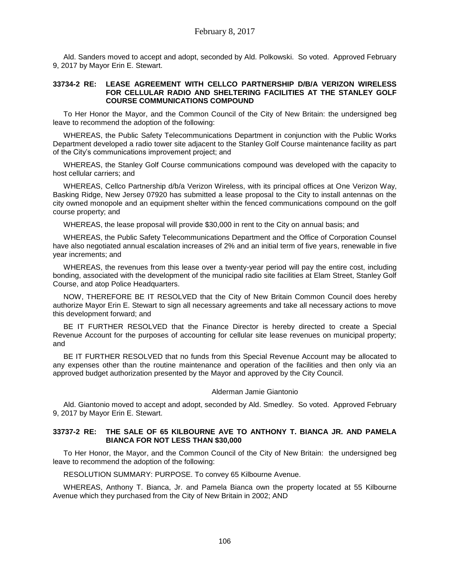Ald. Sanders moved to accept and adopt, seconded by Ald. Polkowski. So voted. Approved February 9, 2017 by Mayor Erin E. Stewart.

#### **33734-2 RE: LEASE AGREEMENT WITH CELLCO PARTNERSHIP D/B/A VERIZON WIRELESS FOR CELLULAR RADIO AND SHELTERING FACILITIES AT THE STANLEY GOLF COURSE COMMUNICATIONS COMPOUND**

To Her Honor the Mayor, and the Common Council of the City of New Britain: the undersigned beg leave to recommend the adoption of the following:

WHEREAS, the Public Safety Telecommunications Department in conjunction with the Public Works Department developed a radio tower site adjacent to the Stanley Golf Course maintenance facility as part of the City's communications improvement project; and

WHEREAS, the Stanley Golf Course communications compound was developed with the capacity to host cellular carriers; and

WHEREAS, Cellco Partnership d/b/a Verizon Wireless, with its principal offices at One Verizon Way, Basking Ridge, New Jersey 07920 has submitted a lease proposal to the City to install antennas on the city owned monopole and an equipment shelter within the fenced communications compound on the golf course property; and

WHEREAS, the lease proposal will provide \$30,000 in rent to the City on annual basis; and

WHEREAS, the Public Safety Telecommunications Department and the Office of Corporation Counsel have also negotiated annual escalation increases of 2% and an initial term of five years, renewable in five year increments; and

WHEREAS, the revenues from this lease over a twenty-year period will pay the entire cost, including bonding, associated with the development of the municipal radio site facilities at Elam Street, Stanley Golf Course, and atop Police Headquarters.

NOW, THEREFORE BE IT RESOLVED that the City of New Britain Common Council does hereby authorize Mayor Erin E. Stewart to sign all necessary agreements and take all necessary actions to move this development forward; and

BE IT FURTHER RESOLVED that the Finance Director is hereby directed to create a Special Revenue Account for the purposes of accounting for cellular site lease revenues on municipal property; and

BE IT FURTHER RESOLVED that no funds from this Special Revenue Account may be allocated to any expenses other than the routine maintenance and operation of the facilities and then only via an approved budget authorization presented by the Mayor and approved by the City Council.

#### Alderman Jamie Giantonio

Ald. Giantonio moved to accept and adopt, seconded by Ald. Smedley. So voted. Approved February 9, 2017 by Mayor Erin E. Stewart.

#### **33737-2 RE: THE SALE OF 65 KILBOURNE AVE TO ANTHONY T. BIANCA JR. AND PAMELA BIANCA FOR NOT LESS THAN \$30,000**

To Her Honor, the Mayor, and the Common Council of the City of New Britain: the undersigned beg leave to recommend the adoption of the following:

RESOLUTION SUMMARY: PURPOSE. To convey 65 Kilbourne Avenue.

WHEREAS, Anthony T. Bianca, Jr. and Pamela Bianca own the property located at 55 Kilbourne Avenue which they purchased from the City of New Britain in 2002; AND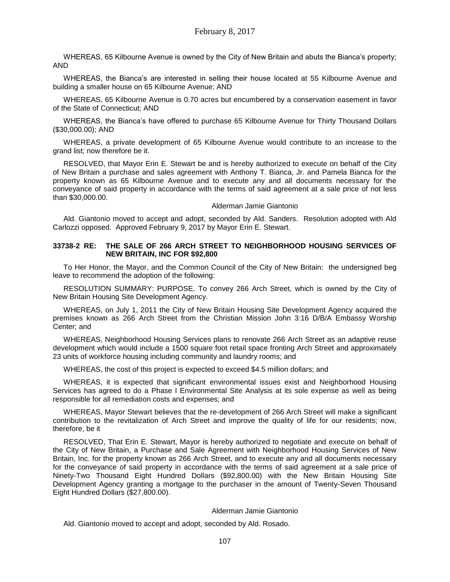WHEREAS, 65 Kilbourne Avenue is owned by the City of New Britain and abuts the Bianca's property; AND

WHEREAS, the Bianca's are interested in selling their house located at 55 Kilbourne Avenue and building a smaller house on 65 Kilbourne Avenue; AND

WHEREAS, 65 Kilbourne Avenue is 0.70 acres but encumbered by a conservation easement in favor of the State of Connecticut; AND

WHEREAS, the Bianca's have offered to purchase 65 Kilbourne Avenue for Thirty Thousand Dollars (\$30,000.00); AND

WHEREAS, a private development of 65 Kilbourne Avenue would contribute to an increase to the grand list; now therefore be it.

RESOLVED, that Mayor Erin E. Stewart be and is hereby authorized to execute on behalf of the City of New Britain a purchase and sales agreement with Anthony T. Bianca, Jr. and Pamela Bianca for the property known as 65 Kilbourne Avenue and to execute any and all documents necessary for the conveyance of said property in accordance with the terms of said agreement at a sale price of not less than \$30,000.00.

#### Alderman Jamie Giantonio

Ald. Giantonio moved to accept and adopt, seconded by Ald. Sanders. Resolution adopted with Ald Carlozzi opposed. Approved February 9, 2017 by Mayor Erin E. Stewart.

#### **33738-2 RE: THE SALE OF 266 ARCH STREET TO NEIGHBORHOOD HOUSING SERVICES OF NEW BRITAIN, INC FOR \$92,800**

To Her Honor, the Mayor, and the Common Council of the City of New Britain: the undersigned beg leave to recommend the adoption of the following:

RESOLUTION SUMMARY: PURPOSE. To convey 266 Arch Street, which is owned by the City of New Britain Housing Site Development Agency.

WHEREAS, on July 1, 2011 the City of New Britain Housing Site Development Agency acquired the premises known as 266 Arch Street from the Christian Mission John 3:16 D/B/A Embassy Worship Center; and

WHEREAS, Neighborhood Housing Services plans to renovate 266 Arch Street as an adaptive reuse development which would include a 1500 square foot retail space fronting Arch Street and approximately 23 units of workforce housing including community and laundry rooms; and

WHEREAS, the cost of this project is expected to exceed \$4.5 million dollars; and

WHEREAS, it is expected that significant environmental issues exist and Neighborhood Housing Services has agreed to do a Phase I Environmental Site Analysis at its sole expense as well as being responsible for all remediation costs and expenses; and

WHEREAS, Mayor Stewart believes that the re-development of 266 Arch Street will make a significant contribution to the revitalization of Arch Street and improve the quality of life for our residents; now, therefore, be it

RESOLVED, That Erin E. Stewart, Mayor is hereby authorized to negotiate and execute on behalf of the City of New Britain, a Purchase and Sale Agreement with Neighborhood Housing Services of New Britain, Inc. for the property known as 266 Arch Street, and to execute any and all documents necessary for the conveyance of said property in accordance with the terms of said agreement at a sale price of Ninety-Two Thousand Eight Hundred Dollars (\$92,800.00) with the New Britain Housing Site Development Agency granting a mortgage to the purchaser in the amount of Twenty-Seven Thousand Eight Hundred Dollars (\$27,800.00).

#### Alderman Jamie Giantonio

Ald. Giantonio moved to accept and adopt, seconded by Ald. Rosado.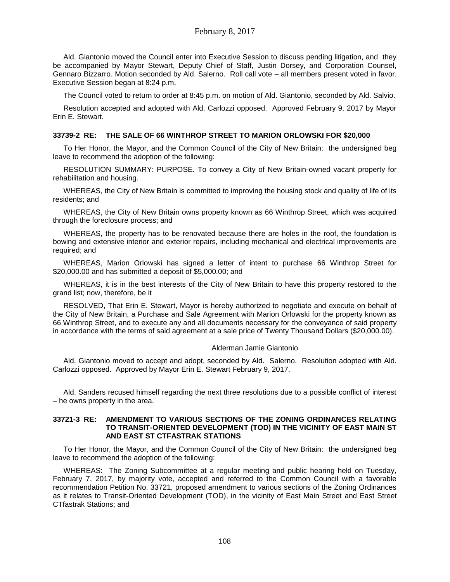Ald. Giantonio moved the Council enter into Executive Session to discuss pending litigation, and they be accompanied by Mayor Stewart, Deputy Chief of Staff, Justin Dorsey, and Corporation Counsel, Gennaro Bizzarro. Motion seconded by Ald. Salerno. Roll call vote – all members present voted in favor. Executive Session began at 8:24 p.m.

The Council voted to return to order at 8:45 p.m. on motion of Ald. Giantonio, seconded by Ald. Salvio.

Resolution accepted and adopted with Ald. Carlozzi opposed. Approved February 9, 2017 by Mayor Erin E. Stewart.

## **33739-2 RE: THE SALE OF 66 WINTHROP STREET TO MARION ORLOWSKI FOR \$20,000**

To Her Honor, the Mayor, and the Common Council of the City of New Britain: the undersigned beg leave to recommend the adoption of the following:

RESOLUTION SUMMARY: PURPOSE. To convey a City of New Britain-owned vacant property for rehabilitation and housing.

WHEREAS, the City of New Britain is committed to improving the housing stock and quality of life of its residents; and

WHEREAS, the City of New Britain owns property known as 66 Winthrop Street, which was acquired through the foreclosure process; and

WHEREAS, the property has to be renovated because there are holes in the roof, the foundation is bowing and extensive interior and exterior repairs, including mechanical and electrical improvements are required; and

WHEREAS, Marion Orlowski has signed a letter of intent to purchase 66 Winthrop Street for \$20,000.00 and has submitted a deposit of \$5,000.00; and

WHEREAS, it is in the best interests of the City of New Britain to have this property restored to the grand list; now, therefore, be it

RESOLVED, That Erin E. Stewart, Mayor is hereby authorized to negotiate and execute on behalf of the City of New Britain, a Purchase and Sale Agreement with Marion Orlowski for the property known as 66 Winthrop Street, and to execute any and all documents necessary for the conveyance of said property in accordance with the terms of said agreement at a sale price of Twenty Thousand Dollars (\$20,000.00).

#### Alderman Jamie Giantonio

Ald. Giantonio moved to accept and adopt, seconded by Ald. Salerno. Resolution adopted with Ald. Carlozzi opposed. Approved by Mayor Erin E. Stewart February 9, 2017.

Ald. Sanders recused himself regarding the next three resolutions due to a possible conflict of interest – he owns property in the area.

#### **33721-3 RE: AMENDMENT TO VARIOUS SECTIONS OF THE ZONING ORDINANCES RELATING TO TRANSIT-ORIENTED DEVELOPMENT (TOD) IN THE VICINITY OF EAST MAIN ST AND EAST ST CTFASTRAK STATIONS**

To Her Honor, the Mayor, and the Common Council of the City of New Britain: the undersigned beg leave to recommend the adoption of the following:

WHEREAS: The Zoning Subcommittee at a regular meeting and public hearing held on Tuesday, February 7, 2017, by majority vote, accepted and referred to the Common Council with a favorable recommendation Petition No. 33721, proposed amendment to various sections of the Zoning Ordinances as it relates to Transit-Oriented Development (TOD), in the vicinity of East Main Street and East Street CTfastrak Stations; and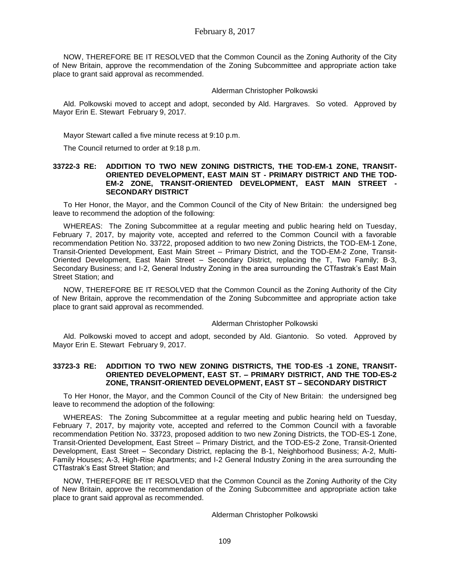NOW, THEREFORE BE IT RESOLVED that the Common Council as the Zoning Authority of the City of New Britain, approve the recommendation of the Zoning Subcommittee and appropriate action take place to grant said approval as recommended.

#### Alderman Christopher Polkowski

Ald. Polkowski moved to accept and adopt, seconded by Ald. Hargraves. So voted. Approved by Mayor Erin E. Stewart February 9, 2017.

Mayor Stewart called a five minute recess at 9:10 p.m.

The Council returned to order at 9:18 p.m.

#### **33722-3 RE: ADDITION TO TWO NEW ZONING DISTRICTS, THE TOD-EM-1 ZONE, TRANSIT-ORIENTED DEVELOPMENT, EAST MAIN ST - PRIMARY DISTRICT AND THE TOD-EM-2 ZONE, TRANSIT-ORIENTED DEVELOPMENT, EAST MAIN STREET - SECONDARY DISTRICT**

To Her Honor, the Mayor, and the Common Council of the City of New Britain: the undersigned beg leave to recommend the adoption of the following:

WHEREAS: The Zoning Subcommittee at a regular meeting and public hearing held on Tuesday, February 7, 2017, by majority vote, accepted and referred to the Common Council with a favorable recommendation Petition No. 33722, proposed addition to two new Zoning Districts, the TOD-EM-1 Zone, Transit-Oriented Development, East Main Street – Primary District, and the TOD-EM-2 Zone, Transit-Oriented Development, East Main Street – Secondary District, replacing the T, Two Family; B-3, Secondary Business; and I-2, General Industry Zoning in the area surrounding the CTfastrak's East Main Street Station; and

NOW, THEREFORE BE IT RESOLVED that the Common Council as the Zoning Authority of the City of New Britain, approve the recommendation of the Zoning Subcommittee and appropriate action take place to grant said approval as recommended.

#### Alderman Christopher Polkowski

Ald. Polkowski moved to accept and adopt, seconded by Ald. Giantonio. So voted. Approved by Mayor Erin E. Stewart February 9, 2017.

### **33723-3 RE: ADDITION TO TWO NEW ZONING DISTRICTS, THE TOD-ES -1 ZONE, TRANSIT-ORIENTED DEVELOPMENT, EAST ST. – PRIMARY DISTRICT, AND THE TOD-ES-2 ZONE, TRANSIT-ORIENTED DEVELOPMENT, EAST ST – SECONDARY DISTRICT**

To Her Honor, the Mayor, and the Common Council of the City of New Britain: the undersigned beg leave to recommend the adoption of the following:

WHEREAS: The Zoning Subcommittee at a regular meeting and public hearing held on Tuesday, February 7, 2017, by majority vote, accepted and referred to the Common Council with a favorable recommendation Petition No. 33723, proposed addition to two new Zoning Districts, the TOD-ES-1 Zone, Transit-Oriented Development, East Street – Primary District, and the TOD-ES-2 Zone, Transit-Oriented Development, East Street – Secondary District, replacing the B-1, Neighborhood Business; A-2, Multi-Family Houses; A-3, High-Rise Apartments; and I-2 General Industry Zoning in the area surrounding the CTfastrak's East Street Station; and

NOW, THEREFORE BE IT RESOLVED that the Common Council as the Zoning Authority of the City of New Britain, approve the recommendation of the Zoning Subcommittee and appropriate action take place to grant said approval as recommended.

#### Alderman Christopher Polkowski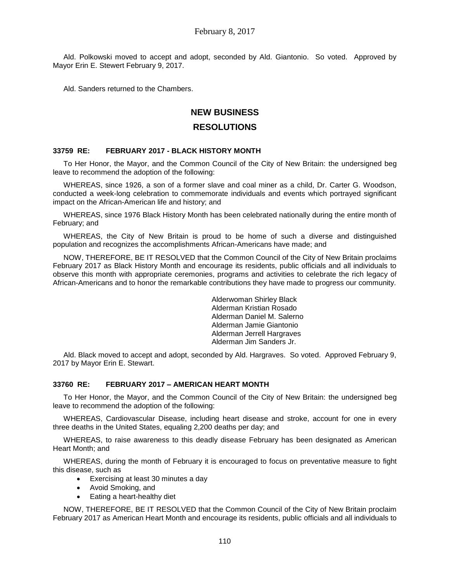Ald. Polkowski moved to accept and adopt, seconded by Ald. Giantonio. So voted. Approved by Mayor Erin E. Stewert February 9, 2017.

Ald. Sanders returned to the Chambers.

# **NEW BUSINESS**

# **RESOLUTIONS**

#### **33759 RE: FEBRUARY 2017 - BLACK HISTORY MONTH**

To Her Honor, the Mayor, and the Common Council of the City of New Britain: the undersigned beg leave to recommend the adoption of the following:

WHEREAS, since 1926, a son of a former slave and coal miner as a child, Dr. Carter G. Woodson, conducted a week-long celebration to commemorate individuals and events which portrayed significant impact on the African-American life and history; and

WHEREAS, since 1976 Black History Month has been celebrated nationally during the entire month of February; and

WHEREAS, the City of New Britain is proud to be home of such a diverse and distinguished population and recognizes the accomplishments African-Americans have made; and

NOW, THEREFORE, BE IT RESOLVED that the Common Council of the City of New Britain proclaims February 2017 as Black History Month and encourage its residents, public officials and all individuals to observe this month with appropriate ceremonies, programs and activities to celebrate the rich legacy of African-Americans and to honor the remarkable contributions they have made to progress our community.

> Alderwoman Shirley Black Alderman Kristian Rosado Alderman Daniel M. Salerno Alderman Jamie Giantonio Alderman Jerrell Hargraves Alderman Jim Sanders Jr.

Ald. Black moved to accept and adopt, seconded by Ald. Hargraves. So voted. Approved February 9, 2017 by Mayor Erin E. Stewart.

## **33760 RE: FEBRUARY 2017 – AMERICAN HEART MONTH**

To Her Honor, the Mayor, and the Common Council of the City of New Britain: the undersigned beg leave to recommend the adoption of the following:

WHEREAS, Cardiovascular Disease, including heart disease and stroke, account for one in every three deaths in the United States, equaling 2,200 deaths per day; and

WHEREAS, to raise awareness to this deadly disease February has been designated as American Heart Month; and

WHEREAS, during the month of February it is encouraged to focus on preventative measure to fight this disease, such as

- Exercising at least 30 minutes a day
- Avoid Smoking, and
- Eating a heart-healthy diet

NOW, THEREFORE, BE IT RESOLVED that the Common Council of the City of New Britain proclaim February 2017 as American Heart Month and encourage its residents, public officials and all individuals to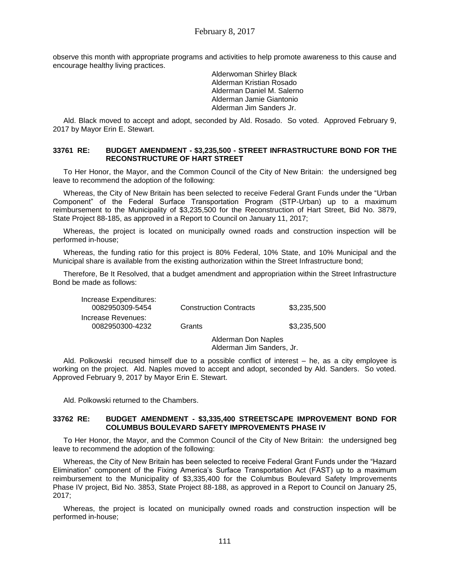observe this month with appropriate programs and activities to help promote awareness to this cause and encourage healthy living practices.

> Alderwoman Shirley Black Alderman Kristian Rosado Alderman Daniel M. Salerno Alderman Jamie Giantonio Alderman Jim Sanders Jr.

Ald. Black moved to accept and adopt, seconded by Ald. Rosado. So voted. Approved February 9, 2017 by Mayor Erin E. Stewart.

#### **33761 RE: BUDGET AMENDMENT - \$3,235,500 - STREET INFRASTRUCTURE BOND FOR THE RECONSTRUCTURE OF HART STREET**

To Her Honor, the Mayor, and the Common Council of the City of New Britain: the undersigned beg leave to recommend the adoption of the following:

Whereas, the City of New Britain has been selected to receive Federal Grant Funds under the "Urban Component" of the Federal Surface Transportation Program (STP-Urban) up to a maximum reimbursement to the Municipality of \$3,235,500 for the Reconstruction of Hart Street, Bid No. 3879, State Project 88-185, as approved in a Report to Council on January 11, 2017;

Whereas, the project is located on municipally owned roads and construction inspection will be performed in-house;

Whereas, the funding ratio for this project is 80% Federal, 10% State, and 10% Municipal and the Municipal share is available from the existing authorization within the Street Infrastructure bond;

Therefore, Be It Resolved, that a budget amendment and appropriation within the Street Infrastructure Bond be made as follows:

| Increase Expenditures:<br>0082950309-5454 | <b>Construction Contracts</b> | \$3.235.500 |
|-------------------------------------------|-------------------------------|-------------|
| Increase Revenues:<br>0082950300-4232     | Grants                        | \$3,235,500 |
|                                           | Alderman Don Naples           |             |

Alderman Jim Sanders, Jr.

Ald. Polkowski recused himself due to a possible conflict of interest – he, as a city employee is working on the project. Ald. Naples moved to accept and adopt, seconded by Ald. Sanders. So voted. Approved February 9, 2017 by Mayor Erin E. Stewart.

Ald. Polkowski returned to the Chambers.

#### **33762 RE: BUDGET AMENDMENT - \$3,335,400 STREETSCAPE IMPROVEMENT BOND FOR COLUMBUS BOULEVARD SAFETY IMPROVEMENTS PHASE IV**

To Her Honor, the Mayor, and the Common Council of the City of New Britain: the undersigned beg leave to recommend the adoption of the following:

Whereas, the City of New Britain has been selected to receive Federal Grant Funds under the "Hazard Elimination" component of the Fixing America's Surface Transportation Act (FAST) up to a maximum reimbursement to the Municipality of \$3,335,400 for the Columbus Boulevard Safety Improvements Phase IV project, Bid No. 3853, State Project 88-188, as approved in a Report to Council on January 25, 2017;

Whereas, the project is located on municipally owned roads and construction inspection will be performed in-house;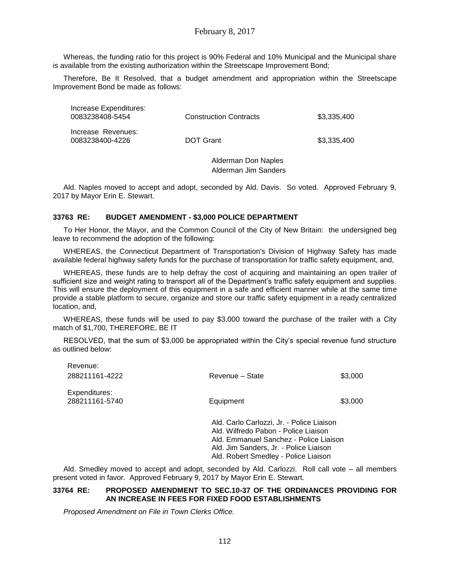Whereas, the funding ratio for this project is 90% Federal and 10% Municipal and the Municipal share is available from the existing authorization within the Streetscape Improvement Bond;

Therefore, Be It Resolved, that a budget amendment and appropriation within the Streetscape Improvement Bond be made as follows:

| Increase Expenditures:<br>0083238408-5454 | <b>Construction Contracts</b> | \$3,335,400 |
|-------------------------------------------|-------------------------------|-------------|
| Increase Revenues:<br>0083238400-4226     | <b>DOT Grant</b>              | \$3.335.400 |

Alderman Don Naples Alderman Jim Sanders

Ald. Naples moved to accept and adopt, seconded by Ald. Davis. So voted. Approved February 9, 2017 by Mayor Erin E. Stewart.

#### **33763 RE: BUDGET AMENDMENT - \$3,000 POLICE DEPARTMENT**

To Her Honor, the Mayor, and the Common Council of the City of New Britain: the undersigned beg leave to recommend the adoption of the following:

WHEREAS, the Connecticut Department of Transportation's Division of Highway Safety has made available federal highway safety funds for the purchase of transportation for traffic safety equipment, and,

WHEREAS, these funds are to help defray the cost of acquiring and maintaining an open trailer of sufficient size and weight rating to transport all of the Department's traffic safety equipment and supplies. This will ensure the deployment of this equipment in a safe and efficient manner while at the same time provide a stable platform to secure, organize and store our traffic safety equipment in a ready centralized location, and,

WHEREAS, these funds will be used to pay \$3,000 toward the purchase of the trailer with a City match of \$1,700, THEREFORE, BE IT

RESOLVED, that the sum of \$3,000 be appropriated within the City's special revenue fund structure as outlined below:

| 288211161-4222                  | Revenue - State                                                                                                                                                                                               | \$3,000 |
|---------------------------------|---------------------------------------------------------------------------------------------------------------------------------------------------------------------------------------------------------------|---------|
| Expenditures:<br>288211161-5740 | Equipment                                                                                                                                                                                                     | \$3,000 |
|                                 | Ald. Carlo Carlozzi, Jr. - Police Liaison<br>Ald. Wilfredo Pabon - Police Liaison<br>Ald. Emmanuel Sanchez - Police Liaison<br>Ald. Jim Sanders, Jr. - Police Liaison<br>Ald. Robert Smedley - Police Liaison |         |

Ald. Smedley moved to accept and adopt, seconded by Ald. Carlozzi. Roll call vote – all members present voted in favor. Approved February 9, 2017 by Mayor Erin E. Stewart.

#### **33764 RE: PROPOSED AMENDMENT TO SEC.10-37 OF THE ORDINANCES PROVIDING FOR AN INCREASE IN FEES FOR FIXED FOOD ESTABLISHMENTS**

*Proposed Amendment on File in Town Clerks Office.*

Revenue: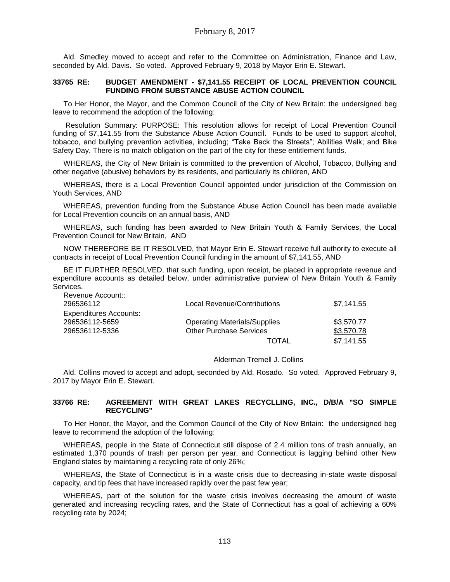Ald. Smedley moved to accept and refer to the Committee on Administration, Finance and Law, seconded by Ald. Davis. So voted. Approved February 9, 2018 by Mayor Erin E. Stewart.

#### **33765 RE: BUDGET AMENDMENT - \$7,141.55 RECEIPT OF LOCAL PREVENTION COUNCIL FUNDING FROM SUBSTANCE ABUSE ACTION COUNCIL**

To Her Honor, the Mayor, and the Common Council of the City of New Britain: the undersigned beg leave to recommend the adoption of the following:

Resolution Summary: PURPOSE: This resolution allows for receipt of Local Prevention Council funding of \$7,141.55 from the Substance Abuse Action Council. Funds to be used to support alcohol, tobacco, and bullying prevention activities, including; "Take Back the Streets"; Abilities Walk; and Bike Safety Day. There is no match obligation on the part of the city for these entitlement funds.

WHEREAS, the City of New Britain is committed to the prevention of Alcohol, Tobacco, Bullying and other negative (abusive) behaviors by its residents, and particularly its children, AND

WHEREAS, there is a Local Prevention Council appointed under jurisdiction of the Commission on Youth Services, AND

WHEREAS, prevention funding from the Substance Abuse Action Council has been made available for Local Prevention councils on an annual basis, AND

WHEREAS, such funding has been awarded to New Britain Youth & Family Services, the Local Prevention Council for New Britain, AND

NOW THEREFORE BE IT RESOLVED, that Mayor Erin E. Stewart receive full authority to execute all contracts in receipt of Local Prevention Council funding in the amount of \$7,141.55, AND

BE IT FURTHER RESOLVED, that such funding, upon receipt, be placed in appropriate revenue and expenditure accounts as detailed below, under administrative purview of New Britain Youth & Family Services.

| Revenue Account::             |                                     |            |
|-------------------------------|-------------------------------------|------------|
| 296536112                     | Local Revenue/Contributions         | \$7,141.55 |
| <b>Expenditures Accounts:</b> |                                     |            |
| 296536112-5659                | <b>Operating Materials/Supplies</b> | \$3,570.77 |
| 296536112-5336                | <b>Other Purchase Services</b>      | \$3,570.78 |
|                               | TOTAL                               | \$7,141.55 |

Alderman Tremell J. Collins

Ald. Collins moved to accept and adopt, seconded by Ald. Rosado. So voted. Approved February 9, 2017 by Mayor Erin E. Stewart.

#### **33766 RE: AGREEMENT WITH GREAT LAKES RECYCLLING, INC., D/B/A "SO SIMPLE RECYCLING"**

To Her Honor, the Mayor, and the Common Council of the City of New Britain: the undersigned beg leave to recommend the adoption of the following:

WHEREAS, people in the State of Connecticut still dispose of 2.4 million tons of trash annually, an estimated 1,370 pounds of trash per person per year, and Connecticut is lagging behind other New England states by maintaining a recycling rate of only 26%;

WHEREAS, the State of Connecticut is in a waste crisis due to decreasing in-state waste disposal capacity, and tip fees that have increased rapidly over the past few year;

WHEREAS, part of the solution for the waste crisis involves decreasing the amount of waste generated and increasing recycling rates, and the State of Connecticut has a goal of achieving a 60% recycling rate by 2024;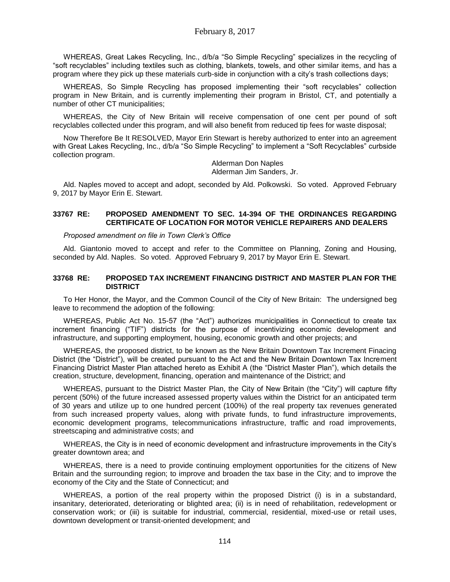WHEREAS, Great Lakes Recycling, Inc., d/b/a "So Simple Recycling" specializes in the recycling of "soft recyclables" including textiles such as clothing, blankets, towels, and other similar items, and has a program where they pick up these materials curb-side in conjunction with a city's trash collections days;

WHEREAS, So Simple Recycling has proposed implementing their "soft recyclables" collection program in New Britain, and is currently implementing their program in Bristol, CT, and potentially a number of other CT municipalities;

WHEREAS, the City of New Britain will receive compensation of one cent per pound of soft recyclables collected under this program, and will also benefit from reduced tip fees for waste disposal;

Now Therefore Be It RESOLVED, Mayor Erin Stewart is hereby authorized to enter into an agreement with Great Lakes Recycling, Inc., d/b/a "So Simple Recycling" to implement a "Soft Recyclables" curbside collection program.

Alderman Don Naples Alderman Jim Sanders, Jr.

Ald. Naples moved to accept and adopt, seconded by Ald. Polkowski. So voted. Approved February 9, 2017 by Mayor Erin E. Stewart.

#### **33767 RE: PROPOSED AMENDMENT TO SEC. 14-394 OF THE ORDINANCES REGARDING CERTIFICATE OF LOCATION FOR MOTOR VEHICLE REPAIRERS AND DEALERS**

#### *Proposed amendment on file in Town Clerk's Office*

Ald. Giantonio moved to accept and refer to the Committee on Planning, Zoning and Housing, seconded by Ald. Naples. So voted. Approved February 9, 2017 by Mayor Erin E. Stewart.

#### **33768 RE: PROPOSED TAX INCREMENT FINANCING DISTRICT AND MASTER PLAN FOR THE DISTRICT**

To Her Honor, the Mayor, and the Common Council of the City of New Britain: The undersigned beg leave to recommend the adoption of the following:

WHEREAS, Public Act No. 15-57 (the "Act") authorizes municipalities in Connecticut to create tax increment financing ("TIF") districts for the purpose of incentivizing economic development and infrastructure, and supporting employment, housing, economic growth and other projects; and

WHEREAS, the proposed district, to be known as the New Britain Downtown Tax Increment Finacing District (the "District"), will be created pursuant to the Act and the New Britain Downtown Tax Increment Financing District Master Plan attached hereto as Exhibit A (the "District Master Plan"), which details the creation, structure, development, financing, operation and maintenance of the District; and

WHEREAS, pursuant to the District Master Plan, the City of New Britain (the "City") will capture fifty percent (50%) of the future increased assessed property values within the District for an anticipated term of 30 years and utilize up to one hundred percent (100%) of the real property tax revenues generated from such increased property values, along with private funds, to fund infrastructure improvements, economic development programs, telecommunications infrastructure, traffic and road improvements, streetscaping and administrative costs; and

WHEREAS, the City is in need of economic development and infrastructure improvements in the City's greater downtown area; and

WHEREAS, there is a need to provide continuing employment opportunities for the citizens of New Britain and the surrounding region; to improve and broaden the tax base in the City; and to improve the economy of the City and the State of Connecticut; and

WHEREAS, a portion of the real property within the proposed District (i) is in a substandard, insanitary, deteriorated, deteriorating or blighted area; (ii) is in need of rehabilitation, redevelopment or conservation work; or (iii) is suitable for industrial, commercial, residential, mixed-use or retail uses, downtown development or transit-oriented development; and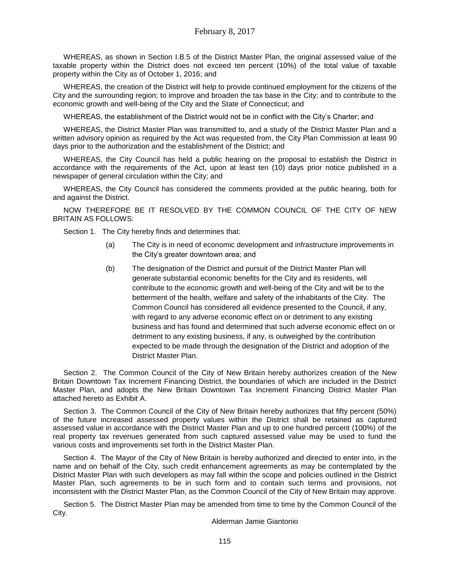WHEREAS, as shown in Section I.B.5 of the District Master Plan, the original assessed value of the taxable property within the District does not exceed ten percent (10%) of the total value of taxable property within the City as of October 1, 2016; and

WHEREAS, the creation of the District will help to provide continued employment for the citizens of the City and the surrounding region; to improve and broaden the tax base in the City; and to contribute to the economic growth and well-being of the City and the State of Connecticut; and

WHEREAS, the establishment of the District would not be in conflict with the City's Charter; and

WHEREAS, the District Master Plan was transmitted to, and a study of the District Master Plan and a written advisory opinion as required by the Act was requested from, the City Plan Commission at least 90 days prior to the authorization and the establishment of the District; and

WHEREAS, the City Council has held a public hearing on the proposal to establish the District in accordance with the requirements of the Act, upon at least ten (10) days prior notice published in a newspaper of general circulation within the City; and

WHEREAS, the City Council has considered the comments provided at the public hearing, both for and against the District.

NOW THEREFORE BE IT RESOLVED BY THE COMMON COUNCIL OF THE CITY OF NEW BRITAIN AS FOLLOWS:

Section 1. The City hereby finds and determines that:

- (a) The City is in need of economic development and infrastructure improvements in the City's greater downtown area; and
- (b) The designation of the District and pursuit of the District Master Plan will generate substantial economic benefits for the City and its residents, will contribute to the economic growth and well-being of the City and will be to the betterment of the health, welfare and safety of the inhabitants of the City. The Common Council has considered all evidence presented to the Council, if any, with regard to any adverse economic effect on or detriment to any existing business and has found and determined that such adverse economic effect on or detriment to any existing business, if any, is outweighed by the contribution expected to be made through the designation of the District and adoption of the District Master Plan.

Section 2. The Common Council of the City of New Britain hereby authorizes creation of the New Britain Downtown Tax Increment Financing District, the boundaries of which are included in the District Master Plan, and adopts the New Britain Downtown Tax Increment Financing District Master Plan attached hereto as Exhibit A.

Section 3. The Common Council of the City of New Britain hereby authorizes that fifty percent (50%) of the future increased assessed property values within the District shall be retained as captured assessed value in accordance with the District Master Plan and up to one hundred percent (100%) of the real property tax revenues generated from such captured assessed value may be used to fund the various costs and improvements set forth in the District Master Plan.

Section 4. The Mayor of the City of New Britain is hereby authorized and directed to enter into, in the name and on behalf of the City, such credit enhancement agreements as may be contemplated by the District Master Plan with such developers as may fall within the scope and policies outlined in the District Master Plan, such agreements to be in such form and to contain such terms and provisions, not inconsistent with the District Master Plan, as the Common Council of the City of New Britain may approve.

Section 5. The District Master Plan may be amended from time to time by the Common Council of the City.

Alderman Jamie Giantonio